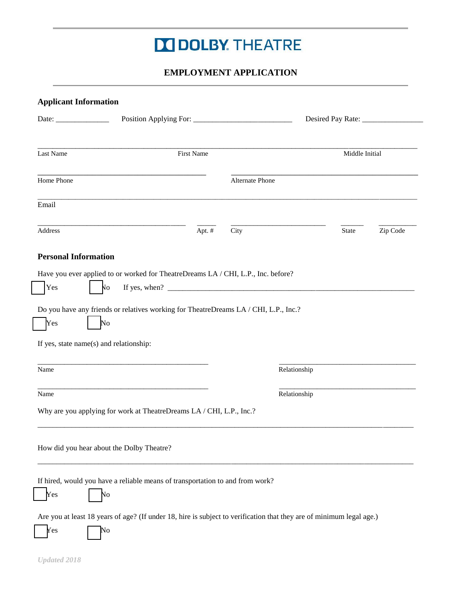# **DOLBY THEATRE**

## **EMPLOYMENT APPLICATION**

| Last Name                               | <b>First Name</b>                                                                                                          |                        | Middle Initial |          |  |  |
|-----------------------------------------|----------------------------------------------------------------------------------------------------------------------------|------------------------|----------------|----------|--|--|
| Home Phone                              |                                                                                                                            | <b>Alternate Phone</b> |                |          |  |  |
| Email                                   |                                                                                                                            |                        |                |          |  |  |
| Address                                 | Apt. #                                                                                                                     | City                   | <b>State</b>   | Zip Code |  |  |
| <b>Personal Information</b>             |                                                                                                                            |                        |                |          |  |  |
|                                         | Have you ever applied to or worked for TheatreDreams LA / CHI, L.P., Inc. before?                                          |                        |                |          |  |  |
| Yes                                     | N <sub>O</sub>                                                                                                             |                        |                |          |  |  |
|                                         | Do you have any friends or relatives working for TheatreDreams LA / CHI, L.P., Inc.?                                       |                        |                |          |  |  |
| Yes                                     | No                                                                                                                         |                        |                |          |  |  |
|                                         |                                                                                                                            |                        |                |          |  |  |
| If yes, state name(s) and relationship: |                                                                                                                            |                        |                |          |  |  |
| Name                                    |                                                                                                                            | Relationship           |                |          |  |  |
|                                         |                                                                                                                            |                        |                |          |  |  |
| Name                                    |                                                                                                                            | Relationship           |                |          |  |  |
|                                         | Why are you applying for work at TheatreDreams LA / CHI, L.P., Inc.?                                                       |                        |                |          |  |  |
|                                         |                                                                                                                            |                        |                |          |  |  |
|                                         |                                                                                                                            |                        |                |          |  |  |
|                                         | How did you hear about the Dolby Theatre?                                                                                  |                        |                |          |  |  |
|                                         |                                                                                                                            |                        |                |          |  |  |
|                                         | If hired, would you have a reliable means of transportation to and from work?                                              |                        |                |          |  |  |
| Yes                                     | No                                                                                                                         |                        |                |          |  |  |
| Yes                                     | Are you at least 18 years of age? (If under 18, hire is subject to verification that they are of minimum legal age.)<br>No |                        |                |          |  |  |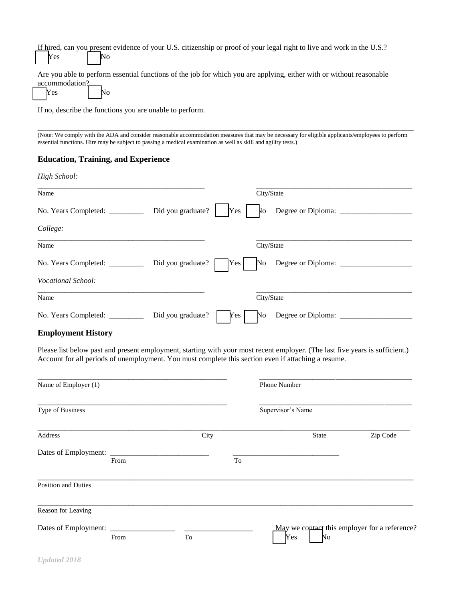|  | If hired, can you present evidence of your U.S. citizenship or proof of your legal right to live and work in the U.S.?<br>Nes |  |  |  |  |  |
|--|-------------------------------------------------------------------------------------------------------------------------------|--|--|--|--|--|

Are you able to perform essential functions of the job for which you are applying, either with or without reasonable accommodation?

| IY es |  |  |  |
|-------|--|--|--|
|-------|--|--|--|

If no, describe the functions you are unable to perform.

\_\_\_\_\_\_\_\_\_\_\_\_\_\_\_\_\_\_\_\_\_\_\_\_\_\_\_\_\_\_\_\_\_\_\_\_\_\_\_\_\_\_\_\_\_\_\_\_\_\_\_\_\_\_\_\_\_\_\_\_\_\_\_\_\_\_\_\_\_\_\_\_\_\_\_\_\_\_\_\_\_\_\_\_\_\_\_\_\_\_\_\_\_\_\_\_\_\_\_ (Note: We comply with the ADA and consider reasonable accommodation measures that may be necessary for eligible applicants/employees to perform essential functions. Hire may be subject to passing a medical examination as well as skill and agility tests.)

#### **Education, Training, and Experience**

| Name                                                |                   |                  | City/State     |                             |  |
|-----------------------------------------------------|-------------------|------------------|----------------|-----------------------------|--|
| No. Years Completed: ____________ Did you graduate? |                   | Yes              | N <sub>O</sub> | Degree or Diploma: ____     |  |
| College:                                            |                   |                  |                |                             |  |
| Name                                                |                   |                  | City/State     |                             |  |
| No. Years Completed:                                | Did you graduate? | Yes              |                | No Degree or Diploma: _____ |  |
| Vocational School:                                  |                   |                  |                |                             |  |
| Name                                                |                   |                  | City/State     |                             |  |
| No. Years Completed: __________                     | Did you graduate? | Yes <sub>1</sub> | <b>No</b>      | Degree or Diploma: ______   |  |

#### **Employment History**

Please list below past and present employment, starting with your most recent employer. (The last five years is sufficient.) Account for all periods of unemployment. You must complete this section even if attaching a resume.

| Name of Employer (1)           |      |      |    | <b>Phone Number</b>                                        |          |  |
|--------------------------------|------|------|----|------------------------------------------------------------|----------|--|
| Type of Business               |      |      |    | Supervisor's Name                                          |          |  |
| Address                        |      | City |    | <b>State</b>                                               | Zip Code |  |
| Dates of Employment: _________ | From |      | To |                                                            |          |  |
| Position and Duties            |      |      |    |                                                            |          |  |
| Reason for Leaving             |      |      |    |                                                            |          |  |
|                                | From | To   |    | May we contact this employer for a reference?<br>Yes<br>No |          |  |